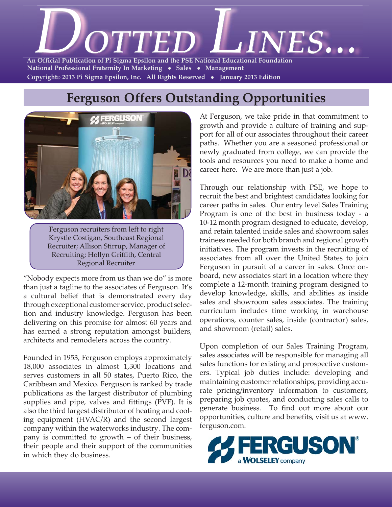

### **Ferguson Offers Outstanding Opportunities**



Ferguson recruiters from left to right Krystle Costigan, Southeast Regional Recruiter; Allison Stirrup, Manager of Recruiting; Hollyn Griffith, Central Regional Recruiter

"Nobody expects more from us than we do" is more than just a tagline to the associates of Ferguson. It's a cultural belief that is demonstrated every day through exceptional customer service, product selection and industry knowledge. Ferguson has been delivering on this promise for almost 60 years and has earned a strong reputation amongst builders, architects and remodelers across the country.

Founded in 1953, Ferguson employs approximately 18,000 associates in almost 1,300 locations and serves customers in all 50 states, Puerto Rico, the Caribbean and Mexico. Ferguson is ranked by trade publications as the largest distributor of plumbing supplies and pipe, valves and fittings (PVF). It is also the third largest distributor of heating and cooling equipment (HVAC/R) and the second largest company within the waterworks industry. The company is committed to growth – of their business, their people and their support of the communities in which they do business.

At Ferguson, we take pride in that commitment to growth and provide a culture of training and support for all of our associates throughout their career paths. Whether you are a seasoned professional or newly graduated from college, we can provide the tools and resources you need to make a home and career here. We are more than just a job.

Through our relationship with PSE, we hope to recruit the best and brightest candidates looking for career paths in sales. Our entry level Sales Training Program is one of the best in business today - a 10-12 month program designed to educate, develop, and retain talented inside sales and showroom sales trainees needed for both branch and regional growth initiatives. The program invests in the recruiting of associates from all over the United States to join Ferguson in pursuit of a career in sales. Once onboard, new associates start in a location where they complete a 12-month training program designed to develop knowledge, skills, and abilities as inside sales and showroom sales associates. The training curriculum includes time working in warehouse operations, counter sales, inside (contractor) sales, and showroom (retail) sales.

Upon completion of our Sales Training Program, sales associates will be responsible for managing all sales functions for existing and prospective customers. Typical job duties include: developing and maintaining customer relationships, providing accurate pricing/inventory information to customers, preparing job quotes, and conducting sales calls to generate business. To find out more about our opportunities, culture and benefits, visit us at www. ferguson.com.

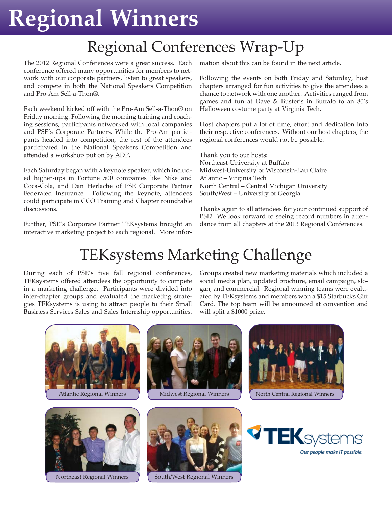# **Regional Winners**

## Regional Conferences Wrap-Up

The 2012 Regional Conferences were a great success. Each conference offered many opportunities for members to network with our corporate partners, listen to great speakers, and compete in both the National Speakers Competition and Pro-Am Sell-a-Thon®.

Each weekend kicked off with the Pro-Am Sell-a-Thon® on Friday morning. Following the morning training and coaching sessions, participants networked with local companies and PSE's Corporate Partners. While the Pro-Am participants headed into competition, the rest of the attendees participated in the National Speakers Competition and attended a workshop put on by ADP.

Each Saturday began with a keynote speaker, which included higher-ups in Fortune 500 companies like Nike and Coca-Cola, and Dan Herlache of PSE Corporate Partner Federated Insurance. Following the keynote, attendees could participate in CCO Training and Chapter roundtable discussions.

Further, PSE's Corporate Partner TEKsystems brought an interactive marketing project to each regional. More information about this can be found in the next article.

Following the events on both Friday and Saturday, host chapters arranged for fun activities to give the attendees a chance to network with one another. Activities ranged from games and fun at Dave & Buster's in Buffalo to an 80's Halloween costume party at Virginia Tech.

Host chapters put a lot of time, effort and dedication into their respective conferences. Without our host chapters, the regional conferences would not be possible.

Thank you to our hosts: Northeast-University at Buffalo Midwest-University of Wisconsin-Eau Claire Atlantic – Virginia Tech North Central – Central Michigan University South/West – University of Georgia

Thanks again to all attendees for your continued support of PSE! We look forward to seeing record numbers in attendance from all chapters at the 2013 Regional Conferences.

## TEKsystems Marketing Challenge

During each of PSE's five fall regional conferences, TEKsystems offered attendees the opportunity to compete in a marketing challenge. Participants were divided into inter-chapter groups and evaluated the marketing strategies TEKsystems is using to attract people to their Small Business Services Sales and Sales Internship opportunities.

Groups created new marketing materials which included a social media plan, updated brochure, email campaign, slogan, and commercial. Regional winning teams were evaluated by TEKsystems and members won a \$15 Starbucks Gift Card. The top team will be announced at convention and will split a \$1000 prize.



Northeast Regional Winners Y | South/West Regional Winners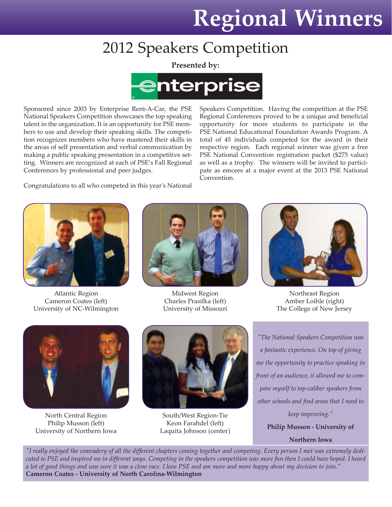## **Regional Winners**

Speakers Competition. Having the competition at the PSE Regional Conferences proved to be a unique and beneficial opportunity for more students to participate in the PSE National Educational Foundation Awards Program. A total of 45 individuals competed for the award in their respective region. Each regional winner was given a free PSE National Convention registration packet (\$275 value) as well as a trophy. The winners will be invited to partici-

## 2012 Speakers Competition

**Presented by:**



Sponsored since 2003 by Enterprise Rent-A-Car, the PSE National Speakers Competition showcases the top speaking talent in the organization. It is an opportunity for PSE members to use and develop their speaking skills. The competition recognizes members who have mastered their skills in the areas of self presentation and verbal communication by making a public speaking presentation in a competitive setting. Winners are recognized at each of PSE's Fall Regional Conferences by professional and peer judges.

Congratulations to all who competed in this year's National pate as emcees at a major event at the 2013 PSE National Convention.



Atlantic Region Cameron Coates (left) University of NC-Wilmington



Midwest Region Charles Prasifka (left) University of Missouri



Northeast Region Amber Loihle (right) The College of New Jersey



North Central Region Philip Musson (left) University of Northern Iowa



South/West Region-Tie Keon Farahdel (left) Laquita Johnson (center)

*"The National Speakers Competition was a fantastic experience. On top of giving me the opportunity to practice speaking in front of an audience, it allowed me to compare myself to top-caliber speakers from other schools and find areas that I need to keep improving."* **Philip Musson - University of Northern Iowa**

*"I really enjoyed the comradery of all the different chapters coming together and competing. Every person I met was extremely dedicated to PSE and inspired me in different ways. Competing in the speakers competition was more fun then I could have hoped. I heard a lot of good things and was sure it was a close race. I love PSE and am more and more happy about my decision to join."* **Cameron Coates - University of North Carolina-Wilmington**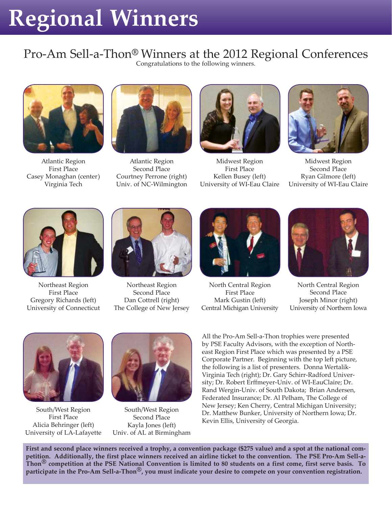# **Regional Winners**

### Pro-Am Sell-a-Thon**®** Winners at the 2012 Regional Conferences

Congratulations to the following winners.



Atlantic Region First Place Casey Monaghan (center) Virginia Tech



Atlantic Region Second Place Courtney Perrone (right) Univ. of NC-Wilmington



Midwest Region First Place Kellen Busey (left) University of WI-Eau Claire



Midwest Region Second Place Ryan Gilmore (left) University of WI-Eau Claire



Northeast Region First Place Gregory Richards (left) University of Connecticut



Northeast Region Second Place Dan Cottrell (right) The College of New Jersey



North Central Region First Place Mark Gustin (left) Central Michigan University



North Central Region Second Place Joseph Minor (right) University of Northern Iowa



South/West Region First Place Alicia Behringer (left) University of LA-Lafayette



South/West Region Second Place Kayla Jones (left) Univ. of AL at Birmingham

All the Pro-Am Sell-a-Thon trophies were presented by PSE Faculty Advisors, with the exception of Northeast Region First Place which was presented by a PSE Corporate Partner. Beginning with the top left picture, the following is a list of presenters. Donna Wertalik-Virginia Tech (right); Dr. Gary Schirr-Radford University; Dr. Robert Erffmeyer-Univ. of WI-EauClaire; Dr. Rand Wergin-Univ. of South Dakota; Brian Andersen, Federated Insurance; Dr. Al Pelham, The College of New Jersey; Ken Cherry, Central Michigan University; Dr. Matthew Bunker, University of Northern Iowa; Dr. Kevin Ellis, University of Georgia.

**First and second place winners received a trophy, a convention package (\$275 value) and a spot at the national competition. Additionally, the first place winners received an airline ticket to the convention. The PSE Pro-Am Sell-a-Thon® competition at the PSE National Convention is limited to 80 students on a first come, first serve basis. To participate in the Pro-Am Sell-a-Thon®, you must indicate your desire to compete on your convention registration.**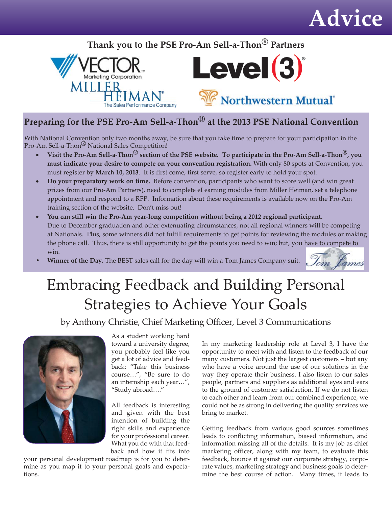## **Advice**

#### **Thank you to the PSE Pro-Am Sell-a-Thon® Partners**





#### **Preparing for the PSE Pro-Am Sell-a-Thon® at the 2013 PSE National Convention**

With National Convention only two months away, be sure that you take time to prepare for your participation in the Pro-Am Sell-a-Thon<sup>®</sup> National Sales Competition!

- **Visit the Pro-Am Sell-a-Thon® section of the PSE website. To participate in the Pro-Am Sell-a-Thon®, you must indicate your desire to compete on your convention registration.** With only 80 spots at Convention, you must register by **March 10, 2013**. It is first come, first serve, so register early to hold your spot.
- **Do your preparatory work on time.** Before convention, participants who want to score well (and win great prizes from our Pro-Am Partners), need to complete eLearning modules from Miller Heiman, set a telephone appointment and respond to a RFP. Information about these requirements is available now on the Pro-Am training section of the website. Don't miss out!
- **You can still win the Pro-Am year-long competition without being a 2012 regional participant.** Due to December graduation and other extenuating circumstances, not all regional winners will be competing at Nationals. Plus, some winners did not fulfill requirements to get points for reviewing the modules or making the phone call. Thus, there is still opportunity to get the points you need to win; but, you have to compete to win.
- **Winner of the Day.** The BEST sales call for the day will win a Tom James Company suit. Som Lames

## Embracing Feedback and Building Personal Strategies to Achieve Your Goals

by Anthony Christie, Chief Marketing Officer, Level 3 Communications



As a student working hard toward a university degree, you probably feel like you get a lot of advice and feedback: "Take this business course…", "Be sure to do an internship each year…", "Study abroad…."

All feedback is interesting and given with the best intention of building the right skills and experience for your professional career. What you do with that feedback and how it fits into

your personal development roadmap is for you to determine as you map it to your personal goals and expectations.

In my marketing leadership role at Level 3, I have the opportunity to meet with and listen to the feedback of our many customers. Not just the largest customers – but any who have a voice around the use of our solutions in the way they operate their business. I also listen to our sales people, partners and suppliers as additional eyes and ears to the ground of customer satisfaction. If we do not listen to each other and learn from our combined experience, we could not be as strong in delivering the quality services we bring to market.

Getting feedback from various good sources sometimes leads to conflicting information, biased information, and information missing all of the details. It is my job as chief marketing officer, along with my team, to evaluate this feedback, bounce it against our corporate strategy, corporate values, marketing strategy and business goals to determine the best course of action. Many times, it leads to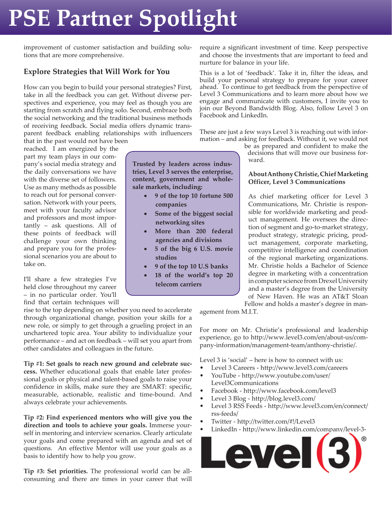# **PSE Partner Spotlight**

improvement of customer satisfaction and building solutions that are more comprehensive.

#### **Explore Strategies that Will Work for You**

How can you begin to build your personal strategies? First, take in all the feedback you can get. Without diverse perspectives and experience, you may feel as though you are starting from scratch and flying solo. Second, embrace both the social networking and the traditional business methods of receiving feedback. Social media offers dynamic transparent feedback enabling relationships with influencers that in the past would not have been

reached. I am energized by the part my team plays in our company's social media strategy and the daily conversations we have with the diverse set of followers. Use as many methods as possible to reach out for personal conversation. Network with your peers, meet with your faculty advisor and professors and most importantly – ask questions. All of these points of feedback will challenge your own thinking and prepare you for the professional scenarios you are about to take on.

I'll share a few strategies I've held close throughout my career – in no particular order. You'll find that certain techniques will

rise to the top depending on whether you need to accelerate through organizational change, position your skills for a new role, or simply to get through a grueling project in an unchartered topic area. Your ability to individualize your performance – and act on feedback – will set you apart from other candidates and colleagues in the future.

**Tip #1: Set goals to reach new ground and celebrate success.** Whether educational goals that enable later professional goals or physical and talent-based goals to raise your confidence in skills, make sure they are SMART: specific, measurable, actionable, realistic and time-bound. And always celebrate your achievements.

**Tip #2: Find experienced mentors who will give you the direction and tools to achieve your goals.** Immerse yourself in mentoring and interview scenarios. Clearly articulate your goals and come prepared with an agenda and set of questions. An effective Mentor will use your goals as a basis to identify how to help you grow.

**Tip #3: Set priorities.** The professional world can be allconsuming and there are times in your career that will require a significant investment of time. Keep perspective and choose the investments that are important to feed and nurture for balance in your life.

This is a lot of 'feedback'. Take it in, filter the ideas, and build your personal strategy to prepare for your career ahead. To continue to get feedback from the perspective of Level 3 Communications and to learn more about how we engage and communicate with customers, I invite you to join our Beyond Bandwidth Blog. Also, follow Level 3 on Facebook and LinkedIn.

These are just a few ways Level 3 is reaching out with information – and asking for feedback. Without it, we would not

> be as prepared and confident to make the decisions that will move our business forward.

#### **About Anthony Christie, Chief Marketing Officer, Level 3 Communications**

As chief marketing officer for Level 3 Communications, Mr. Christie is responsible for worldwide marketing and product management. He oversees the direction of segment and go-to-market strategy, product strategy, strategic pricing, product management, corporate marketing, competitive intelligence and coordination of the regional marketing organizations. Mr. Christie holds a Bachelor of Science degree in marketing with a concentration in computer science from Drexel University and a master's degree from the University of New Haven. He was an AT&T Sloan Fellow and holds a master's degree in man-

agement from M.I.T.

For more on Mr. Christie's professional and leadership experience, go to http://www.level3.com/en/about-us/company-information/management-team/anthony-christie/.

Level 3 is 'social' – here is how to connect with us:

- Level 3 Careers http://www.level3.com/careers • http://www.youtube.com/user/ YouTube -
- Level3Communications • http://www.facebook.com/level3 Facebook -
- Level 3 Blog http://blog.level3.com/
- Level 3 RSS Feeds http://www.level3.com/en/connect/
- rss-feeds/
- Twitter http://twitter.com/#!/Level3
- LinkedIn http://www.linkedin.com/company/level-3-



**Trusted by leaders across industries, Level 3 serves the enterprise, content, government and wholesale markets, including:**

- **9 of the top 10 fortune 500 companies**
- **Some of the biggest social networking sites**
- **More than 200 federal agencies and divisions**
- **5 of the big 6 U.S. movie studios**
- **9 of the top 10 U.S banks**
- **18 of the world's top 20 telecom carriers**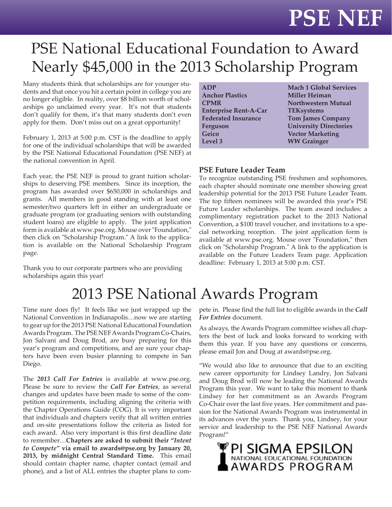## **PSE NEF**

## PSE National Educational Foundation to Award Nearly \$45,000 in the 2013 Scholarship Program

Many students think that scholarships are for younger students and that once you hit a certain point in college you are no longer eligible. In reality, over \$8 billion worth of scholarships go unclaimed every year. It's not that students don't qualify for them, it's that many students don't even apply for them. Don't miss out on a great opportunity!

February 1, 2013 at 5:00 p.m. CST is the deadline to apply for one of the individual scholarships that will be awarded by the PSE National Educational Foundation (PSE NEF) at the national convention in April.

Each year, the PSE NEF is proud to grant tuition scholarships to deserving PSE members. Since its inception, the program has awarded over \$650,000 in scholarships and grants. All members in good standing with at least one semester/two quarters left in either an undergraduate or graduate program (or graduating seniors with outstanding student loans) are eligible to apply. The joint application form is available at www.pse.org. Mouse over "Foundation," then click on "Scholarship Program." A link to the application is available on the National Scholarship Program page.

Thank you to our corporate partners who are providing scholarships again this year!

## 2013 PSE National Awards Program

Time sure does fly! It feels like we just wrapped up the National Convention in Indianapolis…now we are starting to gear up for the 2013 PSE National Educational Foundation Awards Program. The PSE NEF Awards Program Co-Chairs, Jon Salvani and Doug Brod, are busy preparing for this year's program and competitions, and are sure your chapters have been even busier planning to compete in San Diego.

The *2013 Call For Entries* is available at www.pse.org. Please be sure to review the *Call For Entries*, as several changes and updates have been made to some of the competition requirements, including aligning the criteria with the Chapter Operations Guide (COG). It is very important that individuals and chapters verify that all written entries and on-site presentations follow the criteria as listed for each award. Also very important is this first deadline date to remember…**Chapters are asked to submit their "***Intent to Compete"* **via email to awards@pse.org by January 20, 2013, by midnight Central Standard Time.** This email should contain chapter name, chapter contact (email and phone), and a list of ALL entries the chapter plans to com-

| <b>ADP</b><br><b>Anchor Plastics</b><br><b>CPMR</b> | <b>Mach 1 Global Services</b><br><b>Miller Heiman</b><br><b>Northwestern Mutual</b> |
|-----------------------------------------------------|-------------------------------------------------------------------------------------|
|                                                     |                                                                                     |
| <b>Enterprise Rent-A-Car</b>                        | <b>TEKsystems</b>                                                                   |
| <b>Federated Insurance</b>                          | <b>Tom James Company</b>                                                            |
| Ferguson                                            | <b>University Directories</b>                                                       |
| Geico                                               | <b>Vector Marketing</b>                                                             |
| Level 3                                             | <b>WW Grainger</b>                                                                  |
|                                                     |                                                                                     |

#### **PSE Future Leader Team**

To recognize outstanding PSE freshmen and sophomores, each chapter should nominate one member showing great leadership potential for the 2013 PSE Future Leader Team. The top fifteen nominees will be awarded this year's PSE Future Leader scholarships. The team award includes: a complimentary registration packet to the 2013 National Convention, a \$100 travel voucher, and invitations to a special networking reception. The joint application form is available at www.pse.org. Mouse over "Foundation," then click on "Scholarship Program." A link to the application is available on the Future Leaders Team page. Application deadline: February 1, 2013 at 5:00 p.m. CST.

pete in. Please find the full list to eligible awards in the *Call For Entries* document.

As always, the Awards Program committee wishes all chapters the best of luck and looks forward to working with them this year. If you have any questions or concerns, please email Jon and Doug at awards@pse.org.

"We would also like to announce that due to an exciting new career opportunity for Lindsey Landry, Jon Salvani and Doug Brod will now be leading the National Awards Program this year. We want to take this moment to thank Lindsey for her commitment as an Awards Program Co-Chair over the last five years. Her commitment and passion for the National Awards Program was instrumental in its advances over the years. Thank you, Lindsey, for your service and leadership to the PSE NEF National Awards Program!"

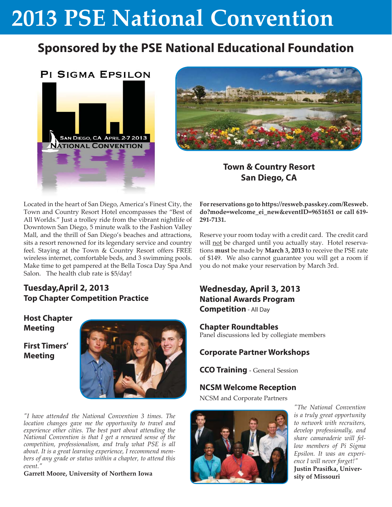### **Sponsored by the PSE National Educational Foundation**

#### **PI SIGMA EPSILON**





#### **Town & Country Resort San Diego, CA**

Located in the heart of San Diego, America's Finest City, the Town and Country Resort Hotel encompasses the "Best of All Worlds." Just a trolley ride from the vibrant nightlife of Downtown San Diego, 5 minute walk to the Fashion Valley Mall, and the thrill of San Diego's beaches and attractions, sits a resort renowned for its legendary service and country feel. Staying at the Town & Country Resort offers FREE wireless internet, comfortable beds, and 3 swimming pools. Make time to get pampered at the Bella Tosca Day Spa And Salon. The health club rate is \$5/day!

#### **Tuesday,April 2, 2013 Top Chapter Competition Practice**

**Host Chapter Meeting**

**First Timers' Meeting**



*"I have attended the National Convention 3 times. The location changes gave me the opportunity to travel and experience other cities. The best part about attending the National Convention is that I get a renewed sense of the competition, professionalism, and truly what PSE is all about. It is a great learning experience, I recommend members of any grade or status within a chapter, to attend this event."*

**Garrett Moore, University of Northern Iowa**

**For reservations go to https://resweb.passkey.com/Resweb. do?mode=welcome\_ei\_new&eventID=9651651 or call 619- 291-7131.**

Reserve your room today with a credit card. The credit card will not be charged until you actually stay. Hotel reservations **must** be made by **March 3, 2013** to receive the PSE rate of \$149. We also cannot guarantee you will get a room if you do not make your reservation by March 3rd.

#### **Wednesday, April 3, 2013 National Awards Program Competition** - All Day

**Chapter Roundtables**

Panel discussions led by collegiate members

#### **Corporate Partner Workshops**

**CCO Training** - General Session

#### **NCSM Welcome Reception**

NCSM and Corporate Partners



*"The National Convention is a truly great opportunity to network with recruiters, develop professionally, and share camaraderie will fellow members of Pi Sigma Epsilon. It was an experience I will never forget!"* **Justin Prasifka**, Univer**sity of Missouri**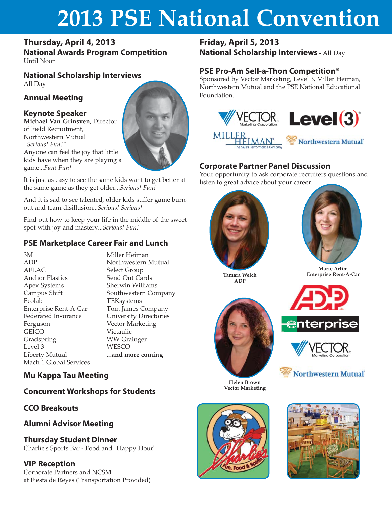#### **Thursday, April 4, 2013**

**National Awards Program Competition** Until Noon

**National Scholarship Interviews** All Day

#### **Annual Meeting**

#### **Keynote Speaker**

**Michael Van Grinsven**, Director of Field Recruitment, Northwestern Mutual *"Serious! Fun!"* Anyone can feel the joy that little kids have when they are playing a game...*Fun! Fun!*



It is just as easy to see the same kids want to get better at the same game as they get older...*Serious! Fun!*

And it is sad to see talented, older kids suffer game burnout and team disillusion...*Serious! Serious!*

Find out how to keep your life in the middle of the sweet spot with joy and mastery...*Serious! Fun!*

#### **PSE Marketplace Career Fair and Lunch**

3M ADP AFLAC Anchor Plastics Apex Systems Campus Shift Ecolab Enterprise Rent-A-Car Federated Insurance Ferguson **GEICO** Gradspring Level 3 Liberty Mutual Mach 1 Global Services

Miller Heiman Northwestern Mutual Select Group Send Out Cards Sherwin Williams Southwestern Company TEKsystems Tom James Company University Directories Vector Marketing Victaulic WW Grainger **WESCO ...and more coming**

#### **Mu Kappa Tau Meeting**

#### **Concurrent Workshops for Students**

#### **CCO Breakouts**

**Alumni Advisor Meeting**

#### **Thursday Student Dinner**

Charlie's Sports Bar - Food and "Happy Hour"

#### **VIP Reception**

Corporate Partners and NCSM at Fiesta de Reyes (Transportation Provided)

### **Friday, April 5, 2013**

**National Scholarship Interviews** - All Day

#### **PSE Pro-Am Sell-a-Thon Competition®**

Sponsored by Vector Marketing, Level 3, Miller Heiman, Northwestern Mutual and the PSE National Educational Foundation.



#### **Corporate Partner Panel Discussion**

Your opportunity to ask corporate recruiters questions and listen to great advice about your career.





**Tamara Welch Enterprise Rent-A-Car ADP**



**enterprise** 



**Northwestern Mutual** 

**Helen Brown Vector Marketing**



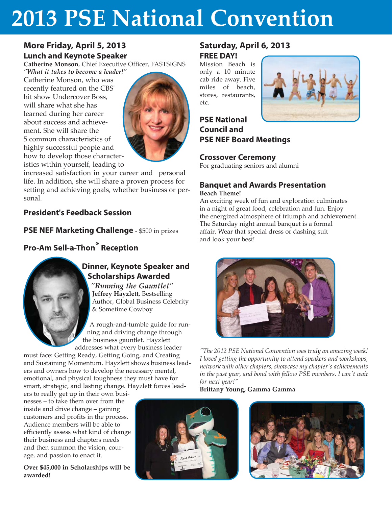#### **More Friday, April 5, 2013 Lunch and Keynote Speaker**

**Catherine Monson**, Chief Executive Officer, FASTSIGNS

*"What it takes to become a leader!"* Catherine Monson, who was recently featured on the CBS' hit show Undercover Boss, will share what she has learned during her career about success and achievement. She will share the 5 common characteristics of highly successful people and how to develop those characteristics within yourself, leading to



increased satisfaction in your career and personal life. In addition, she will share a proven process for setting and achieving goals, whether business or personal.

#### **President's Feedback Session**

**PSE NEF Marketing Challenge** - \$500 in prizes

#### **Pro-Am Sell-a-Thon® Reception**

#### **Dinner, Keynote Speaker and Scholarships Awarded**

*"Running the Gauntlet"* **Jeffrey Hayzlett**, Bestselling Author, Global Business Celebrity & Sometime Cowboy

A rough-and-tumble guide for running and driving change through the business gauntlet. Hayzlett addresses what every business leader

must face: Getting Ready, Getting Going, and Creating and Sustaining Momentum. Hayzlett shows business leaders and owners how to develop the necessary mental, emotional, and physical toughness they must have for smart, strategic, and lasting change. Hayzlett forces lead-

ers to really get up in their own businesses – to take them over from the inside and drive change – gaining customers and profits in the process. Audience members will be able to efficiently assess what kind of change their business and chapters needs and then summon the vision, courage, and passion to enact it.

**Over \$45,000 in Scholarships will be awarded!**

#### **Saturday, April 6, 2013 FREE DAY!**

Mission Beach is only a 10 minute cab ride away. Five miles of beach, stores, restaurants, etc.



**PSE National Council and PSE NEF Board Meetings**

#### **Crossover Ceremony**

For graduating seniors and alumni

#### **Banquet and Awards Presentation Beach Theme!**

An exciting week of fun and exploration culminates in a night of great food, celebration and fun. Enjoy the energized atmosphere of triumph and achievement. The Saturday night annual banquet is a formal affair. Wear that special dress or dashing suit and look your best!



*"The 2012 PSE National Convention was truly an amazing week! I loved getting the opportunity to attend speakers and workshops, network with other chapters, showcase my chapter's achievements in the past year, and bond with fellow PSE members. I can't wait for next year!"* 

#### **Brittany Young, Gamma Gamma**



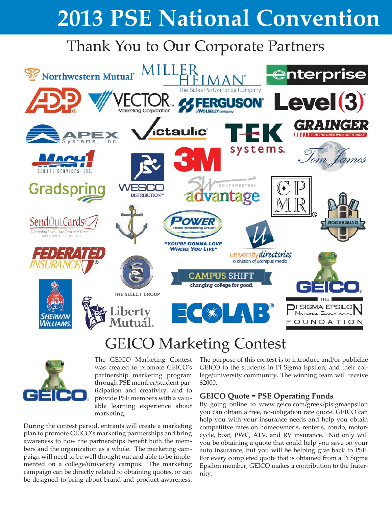## Thank You to Our Corporate Partners



## GEICO Marketing Contest



The GEICO Marketing Contest was created to promote GEICO's partnership marketing program through PSE member/student participation and creativity, and to provide PSE members with a valuable learning experience about marketing.

During the contest period, entrants will create a marketing plan to promote GEICO's marketing partnerships and bring awareness to how the partnerships benefit both the members and the organization as a whole. The marketing campaign will need to be well thought out and able to be implemented on a college/university campus. The marketing campaign can be directly related to obtaining quotes, or can be designed to bring about brand and product awareness.

The purpose of this contest is to introduce and/or publicize GEICO to the students in Pi Sigma Epsilon, and their college/university community. The winning team will receive \$2000.

#### **GEICO Quote = PSE Operating Funds**

By going online to www.geico.com/greek/pisigmaepsilon you can obtain a free, no-obligation rate quote. GEICO can help you with your insurance needs and help you obtain competitive rates on homeowner's, renter's, condo, motorcycle, boat, PWC, ATV, and RV insurance. Not only will you be obtaining a quote that could help you save on your auto insurance, but you will be helping give back to PSE. For every completed quote that is obtained from a Pi Sigma Epsilon member, GEICO makes a contribution to the fraternity.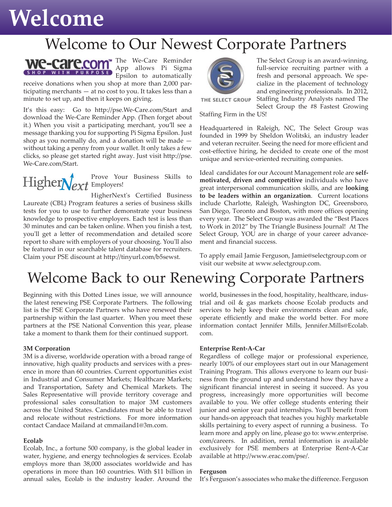## **Welcome**

### Welcome to Our Newest Corporate Partners



App allows Pi Sigma Epsilon to automatically

receive donations when you shop at more than 2,000 participating merchants — at no cost to you. It takes less than a minute to set up, and then it keeps on giving.

It's this easy: Go to http://pse.We-Care.com/Start and download the We-Care Reminder App. (Then forget about it.) When you visit a participating merchant, you'll see a message thanking you for supporting Pi Sigma Epsilon. Just shop as you normally do, and a donation will be made without taking a penny from your wallet. It only takes a few clicks, so please get started right away. Just visit http://pse. We-Care.com/Start.



Prove Your Business Skills to Employers!

HigherNext's Certified Business Laureate (CBL) Program features a series of business skills tests for you to use to further demonstrate your business knowledge to prospective employers. Each test is less than 30 minutes and can be taken online. When you finish a test, you'll get a letter of recommendation and detailed score report to share with employers of your choosing. You'll also be featured in our searchable talent database for recruiters. Claim your PSE discount at http://tinyurl.com/b5sewst.



The Select Group is an award-winning, full-service recruiting partner with a fresh and personal approach. We specialize in the placement of technology and engineering professionals. In 2012, Staffing Industry Analysts named The

THE SELECT GROUP

Select Group the #8 Fastest Growing Staffing Firm in the US!

Headquartered in Raleigh, NC, The Select Group was founded in 1999 by Sheldon Wolitski, an industry leader and veteran recruiter. Seeing the need for more efficient and cost-effective hiring, he decided to create one of the most unique and service-oriented recruiting companies.

Ideal candidates for our Account Management role are **selfmotivated, driven and competitive** individuals who have great interpersonal communication skills, and are **looking to be leaders within an organization**. Current locations include Charlotte, Raleigh, Washington DC, Greensboro, San Diego, Toronto and Boston, with more offices opening every year. The Select Group was awarded the "Best Places to Work in 2012" by The Triangle Business Journal! At The Select Group, YOU are in charge of your career advancement and financial success.

To apply email Jamie Ferguson, Jamie@selectgroup.com or visit our website at www.selectgroup.com.

### Welcome Back to our Renewing Corporate Partners

Beginning with this Dotted Lines issue, we will announce the latest renewing PSE Corporate Partners. The following list is the PSE Corporate Partners who have renewed their partnership within the last quarter. When you meet these partners at the PSE National Convention this year, please take a moment to thank them for their continued support.

#### **3M Corporation**

3M is a diverse, worldwide operation with a broad range of innovative, high quality products and services with a presence in more than 60 countries. Current opportunities exist in Industrial and Consumer Markets; Healthcare Markets; and Transportation, Safety and Chemical Markets. The Sales Representative will provide territory coverage and professional sales consultation to major 3M customers across the United States. Candidates must be able to travel and relocate without restrictions. For more information contact Candace Mailand at cmmailand1@3m.com.

#### **Ecolab**

Ecolab, Inc., a fortune 500 company, is the global leader in water, hygiene, and energy technologies & services. Ecolab employs more than 38,000 associates worldwide and has operations in more than 160 countries. With \$11 billion in annual sales, Ecolab is the industry leader. Around the world, businesses in the food, hospitality, healthcare, industrial and oil & gas markets choose Ecolab products and services to help keep their environments clean and safe, operate efficiently and make the world better. For more information contact Jennifer Mills, Jennifer.Mills@Ecolab. com.

#### **Enterprise Rent-A-Car**

Regardless of college major or professional experience, nearly 100% of our employees start out in our Management Training Program. This allows everyone to learn our business from the ground up and understand how they have a significant financial interest in seeing it succeed. As you progress, increasingly more opportunities will become available to you. We offer college students entering their junior and senior year paid internships. You'll benefit from our hands-on approach that teaches you highly marketable skills pertaining to every aspect of running a business. To learn more and apply on line, please go to: www.enterprise. com/careers. In addition, rental information is available exclusively for PSE members at Enterprise Rent-A-Car available at http://www.erac.com/pse/.

#### **Ferguson**

It's Ferguson's associates who make the difference. Ferguson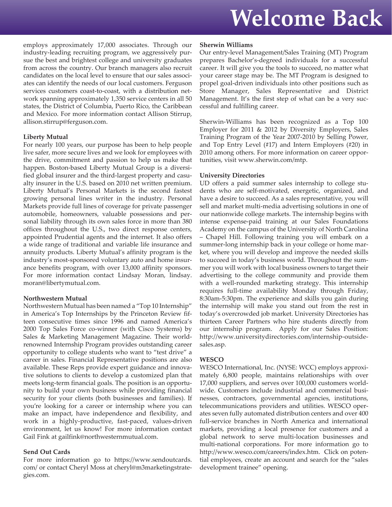## **Welcome Back**

employs approximately 17,000 associates. Through our industry-leading recruiting program, we aggressively pursue the best and brightest college and university graduates from across the country. Our branch managers also recruit candidates on the local level to ensure that our sales associates can identify the needs of our local customers. Ferguson services customers coast-to-coast, with a distribution network spanning approximately 1,350 service centers in all 50 states, the District of Columbia, Puerto Rico, the Caribbean and Mexico. For more information contact Allison Stirrup, allison.stirrup@ferguson.com.

#### **Liberty Mutual**

For nearly 100 years, our purpose has been to help people live safer, more secure lives and we look for employees with the drive, commitment and passion to help us make that happen. Boston-based Liberty Mutual Group is a diversified global insurer and the third-largest property and casualty insurer in the U.S. based on 2010 net written premium. Liberty Mutual's Personal Markets is the second fastest growing personal lines writer in the industry. Personal Markets provide full lines of coverage for private passenger automobile, homeowners, valuable possessions and personal liability through its own sales force in more than 380 offices throughout the U.S., two direct response centers, appointed Prudential agents and the internet. It also offers a wide range of traditional and variable life insurance and annuity products. Liberty Mutual's affinity program is the industry's most-sponsored voluntary auto and home insurance benefits program, with over 13,000 affinity sponsors. For more information contact Lindsay Moran, lindsay. moran@libertymutual.com.

#### **Northwestern Mutual**

Northwestern Mutual has been named a "Top 10 Internship" in America's Top Internships by the Princeton Review fifteen consecutive times since 1996 and named America's 2000 Top Sales Force co-winner (with Cisco Systems) by Sales & Marketing Management Magazine. Their worldrenowned Internship Program provides outstanding career opportunity to college students who want to "test drive" a career in sales. Financial Representative positions are also available. These Reps provide expert guidance and innovative solutions to clients to develop a customized plan that meets long-term financial goals. The position is an opportunity to build your own business while providing financial security for your clients (both businesses and families). If you're looking for a career or internship where you can make an impact, have independence and flexibility, and work in a highly-productive, fast-paced, values-driven environment, let us know! For more information contact Gail Fink at gailfink@northwesternmutual.com.

#### **Send Out Cards**

For more information go to https://www.sendoutcards. com/ or contact Cheryl Moss at cheryl@m3marketingstrategies.com.

#### **Sherwin Williams**

Our entry-level Management/Sales Training (MT) Program prepares Bachelor's-degreed individuals for a successful career. It will give you the tools to succeed, no matter what your career stage may be. The MT Program is designed to propel goal-driven individuals into other positions such as Store Manager, Sales Representative and District Management. It's the first step of what can be a very successful and fulfilling career.

Sherwin-Williams has been recognized as a Top 100 Employer for 2011 & 2012 by Diversity Employers, Sales Training Program of the Year 2007-2010 by Selling Power, and Top Entry Level (#17) and Intern Employers (#20) in 2010 among others. For more information on career opportunities, visit www.sherwin.com/mtp.

#### **University Directories**

UD offers a paid summer sales internship to college students who are self-motivated, energetic, organized, and have a desire to succeed. As a sales representative, you will sell and market multi-media advertising solutions in one of our nationwide college markets. The internship begins with intense expense-paid training at our Sales Foundations Academy on the campus of the University of North Carolina – Chapel Hill. Following training you will embark on a summer-long internship back in your college or home market, where you will develop and improve the needed skills to succeed in today's business world. Throughout the summer you will work with local business owners to target their advertising to the college community and provide them with a well-rounded marketing strategy. This internship requires full-time availability Monday through Friday, 8:30am-5:30pm. The experience and skills you gain during the internship will make you stand out from the rest in today's overcrowded job market. University Directories has thirteen Career Partners who hire students directly from our internship program. Apply for our Sales Position: http://www.universitydirectories.com/internship-outsidesales.asp.

#### **WESCO**

WESCO International, Inc. (NYSE: WCC) employs approximately 6,800 people, maintains relationships with over 17,000 suppliers, and serves over 100,000 customers worldwide. Customers include industrial and commercial businesses, contractors, governmental agencies, institutions, telecommunications providers and utilities. WESCO operates seven fully automated distribution centers and over 400 full-service branches in North America and international markets, providing a local presence for customers and a global network to serve multi-location businesses and multi-national corporations. For more information go to http://www.wesco.com/careers/index.htm. Click on potential employees, create an account and search for the "sales development trainee" opening.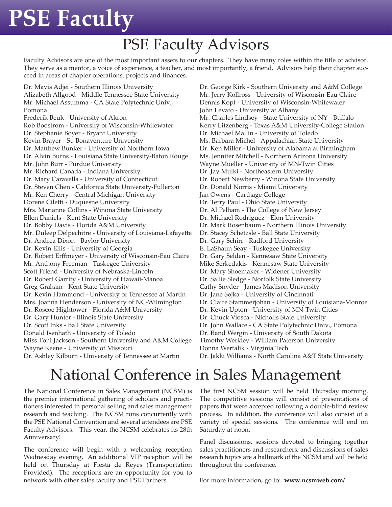## **PSE Faculty**

## PSE Faculty Advisors

Faculty Advisors are one of the most important assets to our chapters. They have many roles within the title of advisor. They serve as a mentor, a voice of experience, a teacher, and most importantly, a friend. Advisors help their chapter succeed in areas of chapter operations, projects and finances.

Dr. Mavis Adjei - Southern Illinois University Alizabeth Allgood - Middle Tennessee State University Mr. Michael Assumma - CA State Polytechnic Univ., Pomona Frederik Beuk - University of Akron Rob Boostrom - University of Wisconsin-Whitewater Dr. Stephanie Boyer - Bryant University Kevin Brayer - St. Bonaventure University Dr. Matthew Bunker - University of Northern Iowa Dr. Alvin Burns - Louisiana State University-Baton Rouge Mr. John Burr - Purdue University Mr. Richard Canada - Indiana University Dr. Mary Caravella - University of Connecticut Dr. Steven Chen - California State University-Fullerton Mr. Ken Cherry - Central Michigan University Dorene Ciletti - Duquesne University Mrs. Marianne Collins - Winona State University Ellen Daniels - Kent State University Dr. Bobby Davis - Florida A&M University Mr. Duleep Delpechitre - University of Louisiana-Lafayette Dr. Andrea Dixon - Baylor University Dr. Kevin Ellis - University of Georgia Dr. Robert Erffmeyer - University of Wisconsin-Eau Claire Mr. Anthony Freeman - Tuskegee University Scott Friend - University of Nebraska-Lincoln Dr. Robert Garrity - University of Hawaii-Manoa Greg Graham - Kent State University Dr. Kevin Hammond - University of Tennessee at Martin Mrs. Joanna Henderson - University of NC-Wilmington Dr. Roscoe Hightower - Florida A&M University Dr. Gary Hunter - Illinois State University Dr. Scott Inks - Ball State University Donald Isenhath - University of Toledo Miss Toni Jackson - Southern University and A&M College Wayne Keene - University of Missouri Dr. Ashley Kilburn - University of Tennessee at Martin

Dr. George Kirk - Southern University and A&M College Mr. Jerry Kollross - University of Wisconsin-Eau Claire Dennis Kopf - University of Wisconsin-Whitewater John Levato - University at Albany Mr. Charles Lindsey - State University of NY - Buffalo Kerry Litzenberg - Texas A&M University-College Station Dr. Michael Mallin - University of Toledo Ms. Barbara Michel - Appalachian State University Dr. Ken Miller - University of Alabama at Birmingham Ms. Jennifer Mitchell - Northern Arizona University Wayne Mueller - University of MN-Twin Cities Dr. Jay Mulki - Northeastern University Dr. Robert Newberry - Winona State University Dr. Donald Norris - Miami University Jan Owens - Carthage College Dr. Terry Paul - Ohio State University Dr. Al Pelham - The College of New Jersey Dr. Michael Rodriguez - Elon University Dr. Mark Rosenbaum - Northern Illinois University Dr. Stacey Schetzsle - Ball State University Dr. Gary Schirr - Radford University E. LaShaun Seay - Tuskegee University Dr. Gary Selden - Kennesaw State University Mike Serkedakis - Kennesaw State University Dr. Mary Shoemaker - Widener University Dr. Sallie Sledge - Norfolk State University Cathy Snyder - James Madison University Dr. Jane Sojka - University of Cincinnati Dr. Claire Stammerjohan - University of Louisiana-Monroe Dr. Kevin Upton - University of MN-Twin Cities Dr. Chuck Viosca - Nicholls State University Dr. John Wallace - CA State Polytechnic Univ., Pomona Dr. Rand Wergin - University of South Dakota Timothy Werkley - William Paterson University Donna Wertalik - Virginia Tech Dr. Jakki Williams - North Carolina A&T State University

### National Conference in Sales Management

The National Conference in Sales Management (NCSM) is the premier international gathering of scholars and practitioners interested in personal selling and sales management research and teaching. The NCSM runs concurrently with the PSE National Convention and several attendees are PSE Faculty Advisors. This year, the NCSM celebrates its 28th Anniversary!

The conference will begin with a welcoming reception Wednesday evening. An additional VIP reception will be held on Thursday at Fiesta de Reyes (Transportation Provided). The receptions are an opportunity for you to network with other sales faculty and PSE Partners.

The first NCSM session will be held Thursday morning. The competitive sessions will consist of presentations of papers that were accepted following a double-blind review process. In addition, the conference will also consist of a variety of special sessions. The conference will end on Saturday at noon.

Panel discussions, sessions devoted to bringing together sales practitioners and researchers, and discussions of sales research topics are a hallmark of the NCSM and will be held throughout the conference.

For more information, go to: **www.ncsmweb.com/**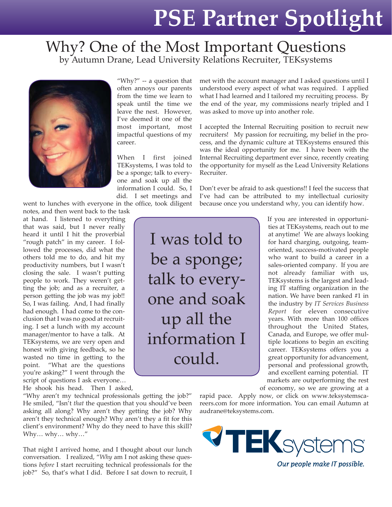## **PSE Partner Spotlight**

#### Why? One of the Most Important Questions by Autumn Drane, Lead University Relations Recruiter, TEKsystems



"Why?" -- a question that often annoys our parents from the time we learn to speak until the time we leave the nest. However, I've deemed it one of the most important, most impactful questions of my career.

When I first joined TEKsystems, I was told to be a sponge; talk to everyone and soak up all the information I could. So, I did. I set meetings and

went to lunches with everyone in the office, took diligent

notes, and then went back to the task

at hand. I listened to everything that was said, but I never really heard it until I hit the proverbial "rough patch" in my career. I followed the processes, did what the others told me to do, and hit my productivity numbers, but I wasn't closing the sale. I wasn't putting people to work. They weren't getting the job; and as a recruiter, a person getting the job was my job!! So, I was failing. And, I had finally had enough. I had come to the conclusion that I was no good at recruiting. I set a lunch with my account manager/mentor to have a talk. At TEKsystems, we are very open and honest with giving feedback, so he wasted no time in getting to the point. "What are the questions you're asking?" I went through the script of questions I ask everyone…

He shook his head. Then I asked,

"Why aren't my technical professionals getting the job?" He smiled, "Isn't *that* the question that you should've been asking all along? Why aren't they getting the job? Why aren't they technical enough? Why aren't they a fit for this client's environment? Why do they need to have this skill? Why… why… why…"

That night I arrived home, and I thought about our lunch conversation. I realized, "*Why* am I not asking these questions *before* I start recruiting technical professionals for the job?" So, that's what I did. Before I sat down to recruit, I

met with the account manager and I asked questions until I understood every aspect of what was required. I applied what I had learned and I tailored my recruiting process. By the end of the year, my commissions nearly tripled and I was asked to move up into another role.

I accepted the Internal Recruiting position to recruit new recruiters! My passion for recruiting, my belief in the process, and the dynamic culture at TEKsystems ensured this was the ideal opportunity for me. I have been with the Internal Recruiting department ever since, recently creating the opportunity for myself as the Lead University Relations Recruiter.

Don't ever be afraid to ask questions!! I feel the success that I've had can be attributed to my intellectual curiosity because once you understand why, you can identify how.

I was told to be a sponge; talk to everyone and soak up all the information I could.

If you are interested in opportunities at TEKsystems, reach out to me at anytime! We are always looking for hard charging, outgoing, teamoriented, success-motivated people who want to build a career in a sales-oriented company. If you are not already familiar with us, TEKsystems is the largest and leading IT staffing organization in the nation. We have been ranked #1 in the industry by *IT Services Business Report* for eleven consecutive years. With more than 100 offices throughout the United States, Canada, and Europe, we offer multiple locations to begin an exciting career. TEKsystems offers you a great opportunity for advancement, personal and professional growth, and excellent earning potential. IT markets are outperforming the rest of economy, so we are growing at a

rapid pace. Apply now, or click on www.teksystemscareers.com for more information. You can email Autumn at audrane@teksystems.com.